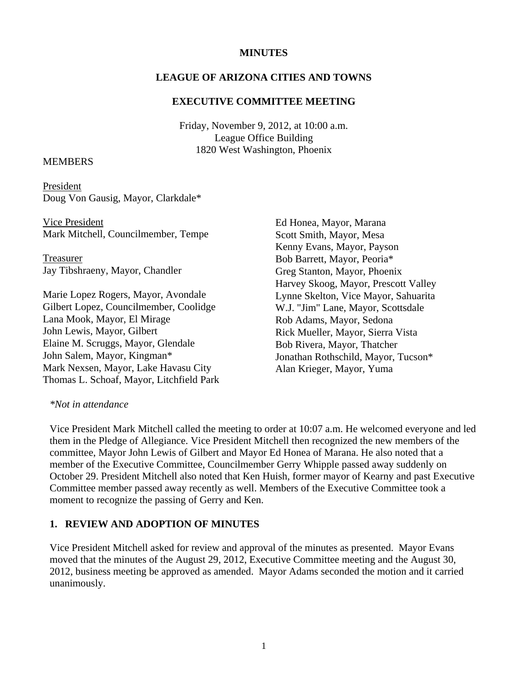### **MINUTES**

### **LEAGUE OF ARIZONA CITIES AND TOWNS**

#### **EXECUTIVE COMMITTEE MEETING**

Friday, November 9, 2012, at 10:00 a.m. League Office Building 1820 West Washington, Phoenix

### MEMBERS

President Doug Von Gausig, Mayor, Clarkdale\*

 Vice President Mark Mitchell, Councilmember, Tempe

Treasurer Jay Tibshraeny, Mayor, Chandler

Marie Lopez Rogers, Mayor, Avondale Gilbert Lopez, Councilmember, Coolidge Lana Mook, Mayor, El Mirage John Lewis, Mayor, Gilbert Elaine M. Scruggs, Mayor, Glendale John Salem, Mayor, Kingman\* Mark Nexsen, Mayor, Lake Havasu City Thomas L. Schoaf, Mayor, Litchfield Park Ed Honea, Mayor, Marana Scott Smith, Mayor, Mesa Kenny Evans, Mayor, Payson Bob Barrett, Mayor, Peoria\* Greg Stanton, Mayor, Phoenix Harvey Skoog, Mayor, Prescott Valley Lynne Skelton, Vice Mayor, Sahuarita W.J. "Jim" Lane, Mayor, Scottsdale Rob Adams, Mayor, Sedona Rick Mueller, Mayor, Sierra Vista Bob Rivera, Mayor, Thatcher Jonathan Rothschild, Mayor, Tucson\* Alan Krieger, Mayor, Yuma

### *\*Not in attendance*

Vice President Mark Mitchell called the meeting to order at 10:07 a.m. He welcomed everyone and led them in the Pledge of Allegiance. Vice President Mitchell then recognized the new members of the committee, Mayor John Lewis of Gilbert and Mayor Ed Honea of Marana. He also noted that a member of the Executive Committee, Councilmember Gerry Whipple passed away suddenly on October 29. President Mitchell also noted that Ken Huish, former mayor of Kearny and past Executive Committee member passed away recently as well. Members of the Executive Committee took a moment to recognize the passing of Gerry and Ken.

#### **1. REVIEW AND ADOPTION OF MINUTES**

Vice President Mitchell asked for review and approval of the minutes as presented. Mayor Evans moved that the minutes of the August 29, 2012, Executive Committee meeting and the August 30, 2012, business meeting be approved as amended. Mayor Adams seconded the motion and it carried unanimously.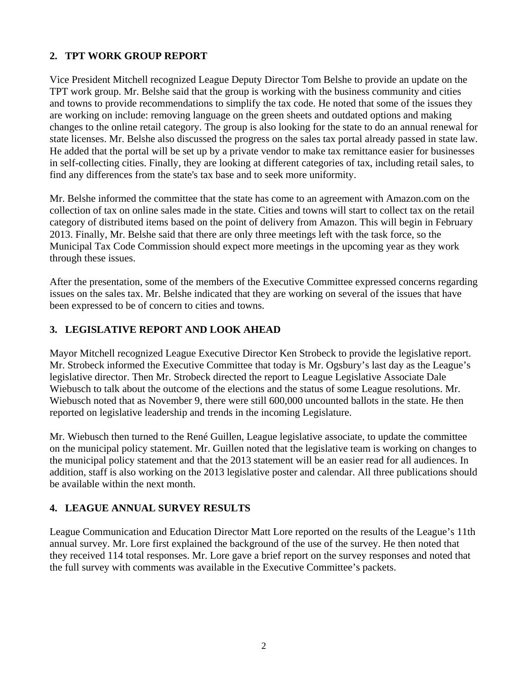## **2. TPT WORK GROUP REPORT**

Vice President Mitchell recognized League Deputy Director Tom Belshe to provide an update on the TPT work group. Mr. Belshe said that the group is working with the business community and cities and towns to provide recommendations to simplify the tax code. He noted that some of the issues they are working on include: removing language on the green sheets and outdated options and making changes to the online retail category. The group is also looking for the state to do an annual renewal for state licenses. Mr. Belshe also discussed the progress on the sales tax portal already passed in state law. He added that the portal will be set up by a private vendor to make tax remittance easier for businesses in self-collecting cities. Finally, they are looking at different categories of tax, including retail sales, to find any differences from the state's tax base and to seek more uniformity.

Mr. Belshe informed the committee that the state has come to an agreement with Amazon.com on the collection of tax on online sales made in the state. Cities and towns will start to collect tax on the retail category of distributed items based on the point of delivery from Amazon. This will begin in February 2013. Finally, Mr. Belshe said that there are only three meetings left with the task force, so the Municipal Tax Code Commission should expect more meetings in the upcoming year as they work through these issues.

After the presentation, some of the members of the Executive Committee expressed concerns regarding issues on the sales tax. Mr. Belshe indicated that they are working on several of the issues that have been expressed to be of concern to cities and towns.

## **3. LEGISLATIVE REPORT AND LOOK AHEAD**

Mayor Mitchell recognized League Executive Director Ken Strobeck to provide the legislative report. Mr. Strobeck informed the Executive Committee that today is Mr. Ogsbury's last day as the League's legislative director. Then Mr. Strobeck directed the report to League Legislative Associate Dale Wiebusch to talk about the outcome of the elections and the status of some League resolutions. Mr. Wiebusch noted that as November 9, there were still 600,000 uncounted ballots in the state. He then reported on legislative leadership and trends in the incoming Legislature.

Mr. Wiebusch then turned to the René Guillen, League legislative associate, to update the committee on the municipal policy statement. Mr. Guillen noted that the legislative team is working on changes to the municipal policy statement and that the 2013 statement will be an easier read for all audiences. In addition, staff is also working on the 2013 legislative poster and calendar. All three publications should be available within the next month.

# **4. LEAGUE ANNUAL SURVEY RESULTS**

League Communication and Education Director Matt Lore reported on the results of the League's 11th annual survey. Mr. Lore first explained the background of the use of the survey. He then noted that they received 114 total responses. Mr. Lore gave a brief report on the survey responses and noted that the full survey with comments was available in the Executive Committee's packets.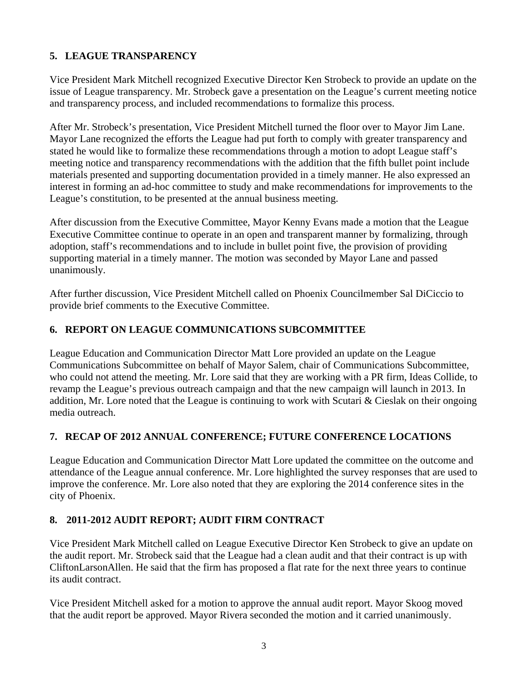# **5. LEAGUE TRANSPARENCY**

Vice President Mark Mitchell recognized Executive Director Ken Strobeck to provide an update on the issue of League transparency. Mr. Strobeck gave a presentation on the League's current meeting notice and transparency process, and included recommendations to formalize this process.

After Mr. Strobeck's presentation, Vice President Mitchell turned the floor over to Mayor Jim Lane. Mayor Lane recognized the efforts the League had put forth to comply with greater transparency and stated he would like to formalize these recommendations through a motion to adopt League staff's meeting notice and transparency recommendations with the addition that the fifth bullet point include materials presented and supporting documentation provided in a timely manner. He also expressed an interest in forming an ad-hoc committee to study and make recommendations for improvements to the League's constitution, to be presented at the annual business meeting.

After discussion from the Executive Committee, Mayor Kenny Evans made a motion that the League Executive Committee continue to operate in an open and transparent manner by formalizing, through adoption, staff's recommendations and to include in bullet point five, the provision of providing supporting material in a timely manner. The motion was seconded by Mayor Lane and passed unanimously.

After further discussion, Vice President Mitchell called on Phoenix Councilmember Sal DiCiccio to provide brief comments to the Executive Committee.

# **6. REPORT ON LEAGUE COMMUNICATIONS SUBCOMMITTEE**

League Education and Communication Director Matt Lore provided an update on the League Communications Subcommittee on behalf of Mayor Salem, chair of Communications Subcommittee, who could not attend the meeting. Mr. Lore said that they are working with a PR firm, Ideas Collide, to revamp the League's previous outreach campaign and that the new campaign will launch in 2013. In addition, Mr. Lore noted that the League is continuing to work with Scutari & Cieslak on their ongoing media outreach.

# **7. RECAP OF 2012 ANNUAL CONFERENCE; FUTURE CONFERENCE LOCATIONS**

League Education and Communication Director Matt Lore updated the committee on the outcome and attendance of the League annual conference. Mr. Lore highlighted the survey responses that are used to improve the conference. Mr. Lore also noted that they are exploring the 2014 conference sites in the city of Phoenix.

### **8. 2011-2012 AUDIT REPORT; AUDIT FIRM CONTRACT**

Vice President Mark Mitchell called on League Executive Director Ken Strobeck to give an update on the audit report. Mr. Strobeck said that the League had a clean audit and that their contract is up with CliftonLarsonAllen. He said that the firm has proposed a flat rate for the next three years to continue its audit contract.

Vice President Mitchell asked for a motion to approve the annual audit report. Mayor Skoog moved that the audit report be approved. Mayor Rivera seconded the motion and it carried unanimously.